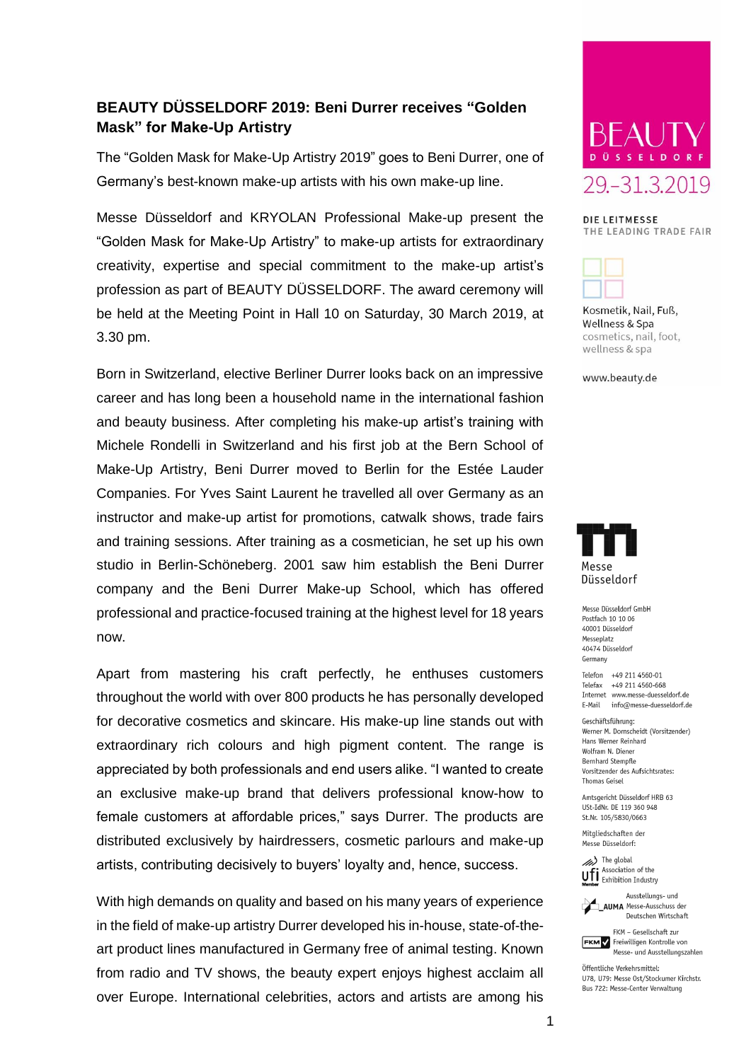## **BEAUTY DÜSSELDORF 2019: Beni Durrer receives "Golden Mask" for Make-Up Artistry**

The "Golden Mask for Make-Up Artistry 2019" goes to Beni Durrer, one of Germany's best-known make-up artists with his own make-up line.

Messe Düsseldorf and KRYOLAN Professional Make-up present the "Golden Mask for Make-Up Artistry" to make-up artists for extraordinary creativity, expertise and special commitment to the make-up artist's profession as part of BEAUTY DÜSSELDORF. The award ceremony will be held at the Meeting Point in Hall 10 on Saturday, 30 March 2019, at 3.30 pm.

Born in Switzerland, elective Berliner Durrer looks back on an impressive career and has long been a household name in the international fashion and beauty business. After completing his make-up artist's training with Michele Rondelli in Switzerland and his first job at the Bern School of Make-Up Artistry, Beni Durrer moved to Berlin for the Estée Lauder Companies. For Yves Saint Laurent he travelled all over Germany as an instructor and make-up artist for promotions, catwalk shows, trade fairs and training sessions. After training as a cosmetician, he set up his own studio in Berlin-Schöneberg. 2001 saw him establish the Beni Durrer company and the Beni Durrer Make-up School, which has offered professional and practice-focused training at the highest level for 18 years now.

Apart from mastering his craft perfectly, he enthuses customers throughout the world with over 800 products he has personally developed for decorative cosmetics and skincare. His make-up line stands out with extraordinary rich colours and high pigment content. The range is appreciated by both professionals and end users alike. "I wanted to create an exclusive make-up brand that delivers professional know-how to female customers at affordable prices," says Durrer. The products are distributed exclusively by hairdressers, cosmetic parlours and make-up artists, contributing decisively to buyers' loyalty and, hence, success.

With high demands on quality and based on his many years of experience in the field of make-up artistry Durrer developed his in-house, state-of-theart product lines manufactured in Germany free of animal testing. Known from radio and TV shows, the beauty expert enjoys highest acclaim all over Europe. International celebrities, actors and artists are among his



DIE LEITMESSE THE LEADING TRADE FAIR



Kosmetik, Nail, Fuß, Wellness & Spa cosmetics, nail, foot, wellness & spa

www.beauty.de



Messe Düsseldorf GmbH Postfach 10 10 06 40001 Düsseldorf Messenlatz 40474 Düsseldorf Germany

Telefon +49 211 4560-01 Telefax +49 211 4560-668 Internet www.messe-duesseldorf.de E-Mail info@messe-duesseldorf.de

Geschäftsführung Werner M. Dornscheidt (Vorsitzender) Hans Werner Reinhard Wolfram N. Diener **Bernhard Stempfle** Vorsitzender des Aufsichtsrates: **Thomas Geisel** 

Amtsgericht Düsseldorf HRB 63 USt-IdNr. DE 119 360 948 St.Nr. 105/5830/0663

Mitaliedschaften der Messe Düsseldorf:

 $\gg$ ) The global Ufi Association of the



**AUMA** Messe-Ausschuss der Deutschen Wirtschaft



Öffentliche Verkehrsmittel: 1178 1179: Messe Ost/Stockumer Kirchstr Bus 722: Messe-Center Verwaltung